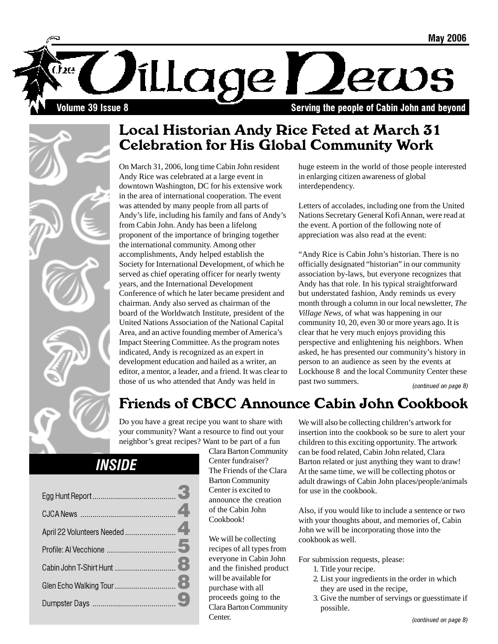

## Local Historian Andy Rice Feted at March 31 Celebration for His Global Community Work

On March 31, 2006, long time Cabin John resident Andy Rice was celebrated at a large event in downtown Washington, DC for his extensive work in the area of international cooperation. The event was attended by many people from all parts of Andy's life, including his family and fans of Andy's from Cabin John. Andy has been a lifelong proponent of the importance of bringing together the international community. Among other accomplishments, Andy helped establish the Society for International Development, of which he served as chief operating officer for nearly twenty years, and the International Development Conference of which he later became president and chairman. Andy also served as chairman of the board of the Worldwatch Institute, president of the United Nations Association of the National Capital Area, and an active founding member of America's Impact Steering Committee. As the program notes indicated, Andy is recognized as an expert in development education and hailed as a writer, an editor, a mentor, a leader, and a friend. It was clear to those of us who attended that Andy was held in

huge esteem in the world of those people interested in enlarging citizen awareness of global interdependency.

Letters of accolades, including one from the United Nations Secretary General Kofi Annan, were read at the event. A portion of the following note of appreciation was also read at the event:

"Andy Rice is Cabin John's historian. There is no officially designated "historian" in our community association by-laws, but everyone recognizes that Andy has that role. In his typical straightforward but understated fashion, Andy reminds us every month through a column in our local newsletter, *The Village News*, of what was happening in our community 10, 20, even 30 or more years ago. It is clear that he very much enjoys providing this perspective and enlightening his neighbors. When asked, he has presented our community's history in person to an audience as seen by the events at Lockhouse 8 and the local Community Center these past two summers. (continued on page 8)

# Friends of CBCC Announce Cabin John Cookbook

Do you have a great recipe you want to share with your community? Want a resource to find out your neighbor's great recipes? Want to be part of a fun

# **INSIDE**

Clara Barton Community Center fundraiser? The Friends of the Clara Barton Community Center is excited to announce the creation of the Cabin John Cookbook!

We will be collecting recipes of all types from everyone in Cabin John and the finished product will be available for purchase with all proceeds going to the Clara Barton Community Center.

We will also be collecting children's artwork for insertion into the cookbook so be sure to alert your children to this exciting opportunity. The artwork can be food related, Cabin John related, Clara Barton related or just anything they want to draw! At the same time, we will be collecting photos or adult drawings of Cabin John places/people/animals for use in the cookbook.

Also, if you would like to include a sentence or two with your thoughts about, and memories of, Cabin John we will be incorporating those into the cookbook as well.

For submission requests, please:

- 1. Title your recipe.
- 2. List your ingredients in the order in which they are used in the recipe,
- 3. Give the number of servings or guesstimate if possible.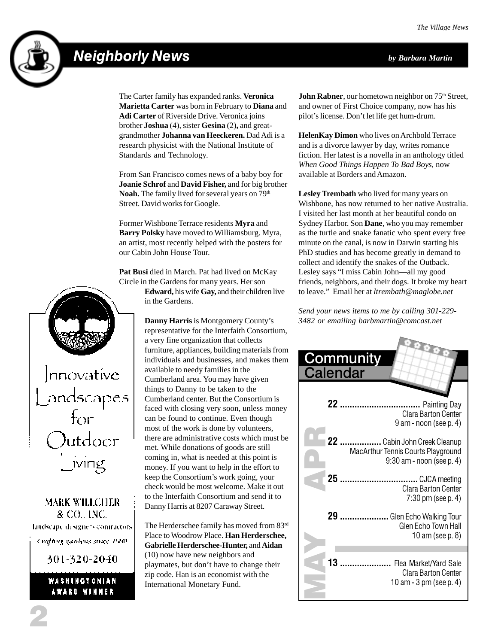# Neighborly News *by Barbara Martin*



The Carter family has expanded ranks. **Veronica Marietta Carter** was born in February to **Diana** and **Adi Carter** of Riverside Drive. Veronica joins brother **Joshua** (4), sister **Gesina** (2)**,** and greatgrandmother **Johanna van Heeckeren.** Dad Adi is a research physicist with the National Institute of Standards and Technology.

From San Francisco comes news of a baby boy for **Joanie Schrof** and **David Fisher,** and for big brother Noah. The family lived for several years on 79<sup>th</sup> Street. David works for Google.

Former Wishbone Terrace residents **Myra** and **Barry Polsky** have moved to Williamsburg. Myra, an artist, most recently helped with the posters for our Cabin John House Tour.

**Pat Busi** died in March. Pat had lived on McKay Circle in the Gardens for many years. Her son

|nnovatíve andscapes<br>for )utdoor iving

**MARK WILLCHER** & CO., INC. landscape designers contractors. Crafting gardens ance 1980.

301-320-2040.

WASHINGTONIAN AWARD WINNER

**Edward,** his wife **Gay,** and their children live in the Gardens.

**Danny Harris** is Montgomery County's representative for the Interfaith Consortium, a very fine organization that collects furniture, appliances, building materials from individuals and businesses, and makes them available to needy families in the Cumberland area. You may have given things to Danny to be taken to the Cumberland center. But the Consortium is faced with closing very soon, unless money can be found to continue. Even though most of the work is done by volunteers, there are administrative costs which must be met. While donations of goods are still coming in, what is needed at this point is money. If you want to help in the effort to keep the Consortium's work going, your check would be most welcome. Make it out to the Interfaith Consortium and send it to Danny Harris at 8207 Caraway Street.

The Herderschee family has moved from 83rd Place to Woodrow Place. **Han Herderschee, Gabrielle Herderschee-Hunter,** and **Aidan** (10) now have new neighbors and playmates, but don't have to change their zip code. Han is an economist with the International Monetary Fund.

**John Rabner**, our hometown neighbor on 75<sup>th</sup> Street, and owner of First Choice company, now has his pilot's license. Don't let life get hum-drum.

**HelenKay Dimon** who lives on Archbold Terrace and is a divorce lawyer by day, writes romance fiction. Her latest is a novella in an anthology titled *When Good Things Happen To Bad Boys*, now available at Borders and Amazon.

**Lesley Trembath** who lived for many years on Wishbone, has now returned to her native Australia. I visited her last month at her beautiful condo on Sydney Harbor. Son **Dane**, who you may remember as the turtle and snake fanatic who spent every free minute on the canal, is now in Darwin starting his PhD studies and has become greatly in demand to collect and identify the snakes of the Outback. Lesley says "I miss Cabin John—all my good friends, neighbors, and their dogs. It broke my heart to leave." Email her at *ltrembath@maglobe.net*

*Send your news items to me by calling 301-229- 3482 or emailing barbmartin@comcast.net*

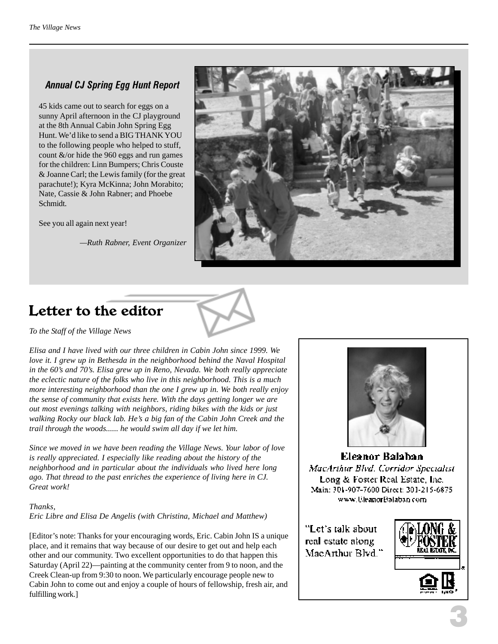### Annual CJ Spring Egg Hunt Report

45 kids came out to search for eggs on a sunny April afternoon in the CJ playground at the 8th Annual Cabin John Spring Egg Hunt. We'd like to send a BIG THANK YOU to the following people who helped to stuff, count &/or hide the 960 eggs and run games for the children: Linn Bumpers; Chris Couste & Joanne Carl; the Lewis family (for the great parachute!); Kyra McKinna; John Morabito; Nate, Cassie & John Rabner; and Phoebe Schmidt.

See you all again next year!

*—Ruth Rabner, Event Organizer*



# Letter to the editor

*To the Staff of the Village News*

*Elisa and I have lived with our three children in Cabin John since 1999. We love it. I grew up in Bethesda in the neighborhood behind the Naval Hospital in the 60's and 70's. Elisa grew up in Reno, Nevada. We both really appreciate the eclectic nature of the folks who live in this neighborhood. This is a much more interesting neighborhood than the one I grew up in. We both really enjoy the sense of community that exists here. With the days getting longer we are out most evenings talking with neighbors, riding bikes with the kids or just walking Rocky our black lab. He's a big fan of the Cabin John Creek and the trail through the woods...... he would swim all day if we let him.*

*Since we moved in we have been reading the Village News. Your labor of love is really appreciated. I especially like reading about the history of the neighborhood and in particular about the individuals who lived here long ago. That thread to the past enriches the experience of living here in CJ. Great work!*

### *Thanks,*

*Eric Libre and Elisa De Angelis (with Christina, Michael and Matthew)*

[Editor's note: Thanks for your encouraging words, Eric. Cabin John IS a unique place, and it remains that way because of our desire to get out and help each other and our community. Two excellent opportunities to do that happen this Saturday (April 22)—painting at the community center from 9 to noon, and the Creek Clean-up from 9:30 to noon. We particularly encourage people new to Cabin John to come out and enjoy a couple of hours of fellowship, fresh air, and fulfilling work.]



Eleanor Balaban MacArthur Blvd. Corridor Specialist Long & Foster Real Estate, Inc. Main: 301-907-7600 Direct: 301-215-6875 www.UleanorBalaban.com.

"Let's talk about real estate along MacArthur Blvd.'

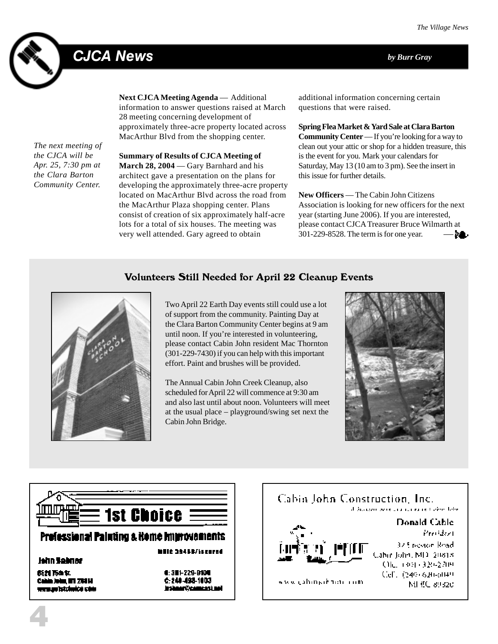# CJCA News *by Burr Gray*



**Next CJCA Meeting Agenda** — Additional information to answer questions raised at March 28 meeting concerning development of approximately three-acre property located across MacArthur Blvd from the shopping center.

*The next meeting of the CJCA will be Apr. 25, 7:30 pm at the Clara Barton Community Center.*

**Summary of Results of CJCA Meeting of** March 28, 2004 — Gary Barnhard and his architect gave a presentation on the plans for developing the approximately three-acre property located on MacArthur Blvd across the road from the MacArthur Plaza shopping center. Plans consist of creation of six approximately half-acre lots for a total of six houses. The meeting was very well attended. Gary agreed to obtain

additional information concerning certain questions that were raised.

**Spring Flea Market & Yard Sale at Clara Barton Community Center** — If you're looking for a way to clean out your attic or shop for a hidden treasure, this is the event for you. Mark your calendars for Saturday, May 13 (10 am to 3 pm). See the insert in this issue for further details.

**New Officers** — The Cabin John Citizens Association is looking for new officers for the next year (starting June 2006). If you are interested, please contact CJCA Treasurer Bruce Wilmarth at 301-229-8528. The term is for one year. — **da**l

### Volunteers Still Needed for April 22 Cleanup Events



Two April 22 Earth Day events still could use a lot of support from the community. Painting Day at the Clara Barton Community Center begins at 9 am until noon. If you're interested in volunteering, please contact Cabin John resident Mac Thornton (301-229-7430) if you can help with this important effort. Paint and brushes will be provided.

The Annual Cabin John Creek Cleanup, also scheduled for April 22 will commence at 9:30 am and also last until about noon. Volunteers will meet at the usual place – playground/swing set next the Cabin John Bridge.





### Prefessional Paluting & Home Improvements

### **John Sabner**

4

弱烈 丙血氧 Cahin John, NY 2011. mmum Istalanice adalı  $4:311 + 229 - 9104$ 6:248-498-1003 instance (Deamers), and

Milie 39455/issured

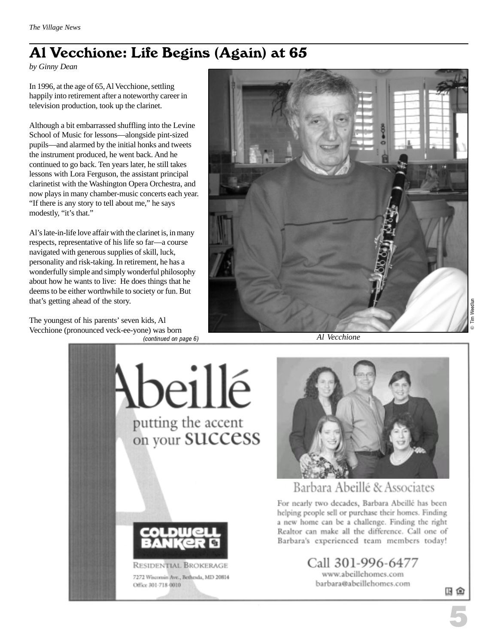# Al Vecchione: Life Begins (Again) at 65

*by Ginny Dean*

In 1996, at the age of 65, Al Vecchione, settling happily into retirement after a noteworthy career in television production, took up the clarinet.

Although a bit embarrassed shuffling into the Levine School of Music for lessons—alongside pint-sized pupils—and alarmed by the initial honks and tweets the instrument produced, he went back. And he continued to go back. Ten years later, he still takes lessons with Lora Ferguson, the assistant principal clarinetist with the Washington Opera Orchestra, and now plays in many chamber-music concerts each year. "If there is any story to tell about me," he says modestly, "it's that."

Al's late-in-life love affair with the clarinet is, in many respects, representative of his life so far—a course navigated with generous supplies of skill, luck, personality and risk-taking. In retirement, he has a wonderfully simple and simply wonderful philosophy about how he wants to live: He does things that he deems to be either worthwhile to society or fun. But that's getting ahead of the story.

The youngest of his parents' seven kids, Al Vecchione (pronounced veck-ee-yone) was born (continued on page 6)



*Al Vecchione*



旧鱼

5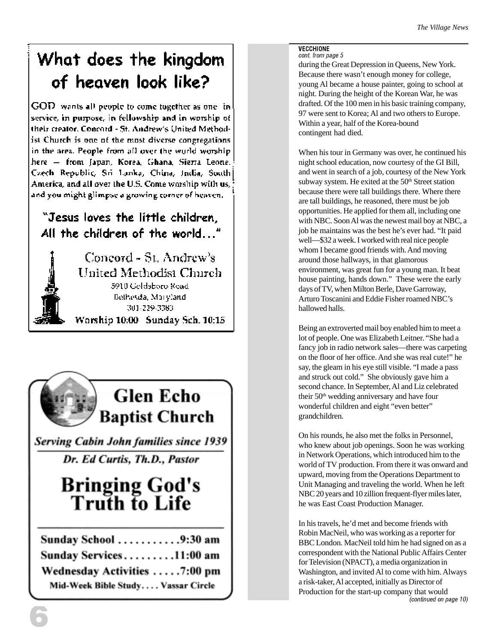# What does the kingdom of heaven look like?

GOD wants all people to come together as one in service, in purpose, in fellowship and in worship of their creator. Concord - St. Andrew's United Methodist Church is one of the most diverse congregations. in the area. People from all over the world worship. here - from Japan, Korea, Ghana, Sierra Leone. Czech Republic, Sri Lanka, China, India, South] America, and all over the U.S. Come worship with us, and you might glimpse a growing corner of heaven.

### "Jesus loves the little children. All the children of the world..."





**Serving Cabin John families since 1939** 

Dr. Ed Curtis, Th.D., Pastor

# **Bringing God's<br>Truth to Life**

| Sunday School 9:30 am              |  |  |  |  |  |
|------------------------------------|--|--|--|--|--|
| Sunday Services11:00 am            |  |  |  |  |  |
| Wednesday Activities 7:00 pm       |  |  |  |  |  |
| Mid-Week Bible Study Vassar Circle |  |  |  |  |  |

#### **VECCHIONE** cont. from page 5

during the Great Depression in Queens, New York. Because there wasn't enough money for college, young Al became a house painter, going to school at night. During the height of the Korean War, he was drafted. Of the 100 men in his basic training company, 97 were sent to Korea; Al and two others to Europe. Within a year, half of the Korea-bound contingent had died.

When his tour in Germany was over, he continued his night school education, now courtesy of the GI Bill, and went in search of a job, courtesy of the New York subway system. He exited at the  $50<sup>th</sup>$  Street station because there were tall buildings there. Where there are tall buildings, he reasoned, there must be job opportunities. He applied for them all, including one with NBC. Soon Al was the newest mail boy at NBC, a job he maintains was the best he's ever had. "It paid well—\$32 a week. I worked with real nice people whom I became good friends with. And moving around those hallways, in that glamorous environment, was great fun for a young man. It beat house painting, hands down." These were the early days of TV, when Milton Berle, Dave Garroway, Arturo Toscanini and Eddie Fisher roamed NBC's hallowed halls.

Being an extroverted mail boy enabled him to meet a lot of people. One was Elizabeth Leitner. "She had a fancy job in radio network sales—there was carpeting on the floor of her office. And she was real cute!" he say, the gleam in his eye still visible. "I made a pass and struck out cold." She obviously gave him a second chance. In September, Al and Liz celebrated their 50<sup>th</sup> wedding anniversary and have four wonderful children and eight "even better" grandchildren.

On his rounds, he also met the folks in Personnel, who knew about job openings. Soon he was working in Network Operations, which introduced him to the world of TV production. From there it was onward and upward, moving from the Operations Department to Unit Managing and traveling the world. When he left NBC 20 years and 10 zillion frequent-flyer miles later, he was East Coast Production Manager.

In his travels, he'd met and become friends with Robin MacNeil, who was working as a reporter for BBC London. MacNeil told him he had signed on as a correspondent with the National Public Affairs Center for Television (NPACT), a media organization in Washington, and invited Al to come with him. Always a risk-taker, Al accepted, initially as Director of Production for the start-up company that would (continued on page 10)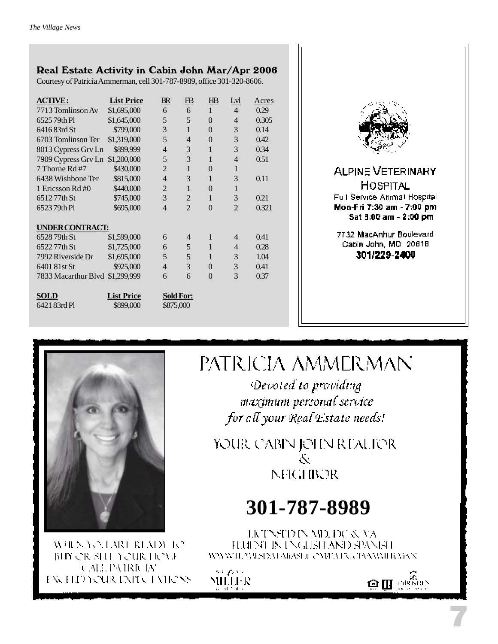### Real Estate Activity in Cabin John Mar/Apr 2006

Courtesy of Patricia Ammerman, cell 301-787-8989, office 301-320-8606.

| <b>ACTIVE:</b>                  | <b>List Price</b>              | $B\!R$         | FB                            | $H\!B$       | Lyl            | <u>Acres</u> |
|---------------------------------|--------------------------------|----------------|-------------------------------|--------------|----------------|--------------|
| 7713 Tomlinson Av               | \$1,695,000                    | 6              | 6                             | $\mathbf{1}$ | 4              | 0.29         |
| 652579th Pl                     | \$1,645,000                    | 5              | 5                             | $\Omega$     | $\overline{4}$ | 0.305        |
| 6416 83rd St                    | \$799,000                      | 3              | 1                             | $\theta$     | 3              | 0.14         |
| 6703 Tomlinson Ter              | \$1,319,000                    | 5              | 4                             | $\theta$     | 3              | 0.42         |
| 8013 Cypress Grv Ln             | \$899,999                      | $\overline{4}$ | 3                             | $\mathbf{1}$ | 3              | 0.34         |
| 7909 Cypress Grv Ln \$1,200,000 |                                | 5              | 3                             | 1            | $\overline{4}$ | 0.51         |
| 7 Thorne Rd #7                  | \$430,000                      | $\overline{2}$ | 1                             | $\theta$     | 1              |              |
| 6438 Wishbone Ter               | \$815,000                      | $\overline{4}$ | 3                             | $\mathbf{1}$ | 3              | 0.11         |
| 1 Ericsson Rd#0                 | \$440,000                      | $\overline{2}$ | 1                             | $\Omega$     | 1              |              |
| 651277th St                     | \$745,000                      | 3              | $\overline{2}$                | 1            | 3              | 0.21         |
| 652379th Pl                     | \$695,000                      | $\overline{4}$ | $\overline{2}$                | $\Omega$     | $\overline{2}$ | 0.321        |
|                                 |                                |                |                               |              |                |              |
| <b>UNDER CONTRACT:</b>          |                                |                |                               |              |                |              |
| 6528 79th St                    | \$1,599,000                    | 6              | 4                             | $\mathbf{1}$ | 4              | 0.41         |
| 652277th St                     | \$1,725,000                    | 6              | 5                             | 1            | 4              | 0.28         |
| 7992 Riverside Dr               | \$1,695,000                    | 5              | 5                             | 1            | 3              | 1.04         |
| 6401 81st St                    | \$925,000                      | $\overline{4}$ | 3                             | $\Omega$     | 3              | 0.41         |
| 7833 Macarthur Blyd             | \$1,299,999                    | 6              | 6                             | $\Omega$     | 3              | 0.37         |
| <b>SOLD</b><br>6421 83rd Pl     | <b>List Price</b><br>\$899,000 |                | <b>Sold For:</b><br>\$875,000 |              |                |              |



7732 MacArthur Boulevard Cabin John, MD 20818 301/229-2400



WHEN YOU MOUNTAIN TO BIY OR SHE YOUR HOME **CALL PATRICIAN** EXCELD YOUR EXPECTATIONS

# PATRICIA AMMERMAN

Devoted to providing maximum personal service for all your Real Estate needs!

YOUR CABIN JOHN REALIER Ň **NFIGHBOR** 

# **301-787-8989**

LICTNSTD IN MD. DC & VA FLUENT IN ENGLISH AND SPANISH WWWIEZWSIEMARAS J. CMPATRICIAAAMIR MAN

sa pas MILLER



7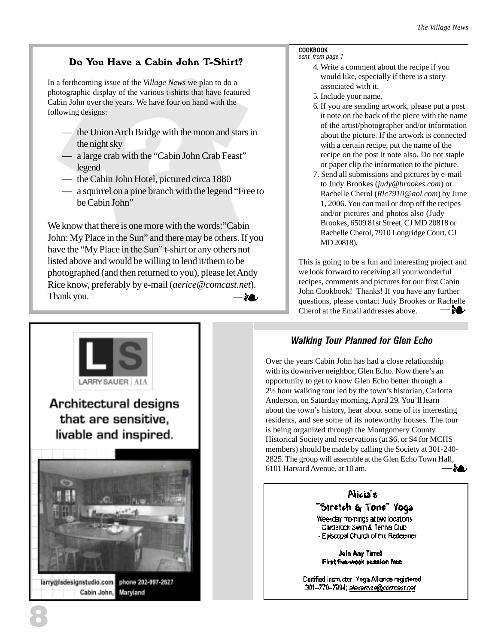### Do You Have a Cabin John T-Shirt?

In a forthcoming issue of the *Village News* we plan to do a photographic display of the various t-shirts that have featured Cabin John over the years. We have four on hand with the following designs:

- the Union Arch Bridge with the moon and stars in the night sky
- a large crab with the "Cabin John Crab Feast" legend
- the Cabin John Hotel, pictured circa 1880
- a squirrel on a pine branch with the legend "Free to be Cabin John"

We know that there is one more with the words:"Cabin John: My Place in the Sun" and there may be others. If you have the "My Place in the Sun" t-shirt or any others not listed above and would be willing to lend it/them to be photographed (and then returned to you), please let Andy Rice know, preferably by e-mail (*aerice@comcast.net*). Thank you.  $\rightarrow$ 

#### COOKBOOK cont. from page 1

- 4. Write a comment about the recipe if you would like, especially if there is a story associated with it.
- 5. Include your name.
- 6. If you are sending artwork, please put a post it note on the back of the piece with the name of the artist/photographer and/or information about the picture. If the artwork is connected with a certain recipe, put the name of the recipe on the post it note also. Do not staple or paper clip the information to the picture.
- 7. Send all submissions and pictures by e-mail to Judy Brookes (*judy@brookes.com*) or Rachelle Cherol (*Rlc7910@aol.com*) by June 1, 2006. You can mail or drop off the recipes and/or pictures and photos also (Judy Brookes, 6509 81st Street, CJ MD 20818 or Rachelle Cherol, 7910 Longridge Court, CJ MD 20818).

This is going to be a fun and interesting project and we look forward to receiving all your wonderful recipes, comments and pictures for our first Cabin John Cookbook! Thanks! If you have any further questions, please contact Judy Brookes or Rachelle 28. Cherol at the Email addresses above.



### Walking Tour Planned for Glen Echo

Over the years Cabin John has had a close relationship with its downriver neighbor, Glen Echo. Now there's an opportunity to get to know Glen Echo better through a 2½ hour walking tour led by the town's historian, Carlotta Anderson, on Saturday morning, April 29. You'll learn about the town's history, hear about some of its interesting residents, and see some of its noteworthy houses. The tour is being organized through the Montgomery County Historical Society and reservations (at \$6, or \$4 for MCHS members) should be made by calling the Society at 301-240- 2825. The group will assemble at the Glen Echo Town Hall, 6101 Harvard Avenue, at 10 am. ЭA.



Join Any Time! First five-wook session ince

Cartified instructor, Yoga Alliance registered 301–770–7994; <u>alexardise@compast.net</u>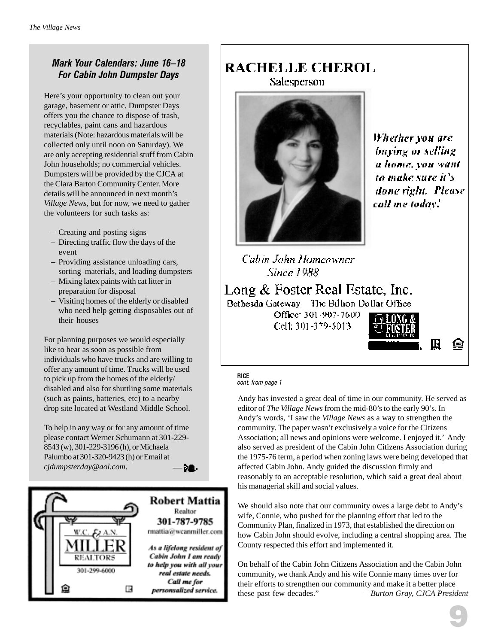### Mark Your Calendars: June 16–18 For Cabin John Dumpster Days

Here's your opportunity to clean out your garage, basement or attic. Dumpster Days offers you the chance to dispose of trash, recyclables, paint cans and hazardous materials (Note: hazardous materials will be collected only until noon on Saturday). We are only accepting residential stuff from Cabin John households; no commercial vehicles. Dumpsters will be provided by the CJCA at the Clara Barton Community Center. More details will be announced in next month's *Village News,* but for now, we need to gather the volunteers for such tasks as:

- Creating and posting signs
- Directing traffic flow the days of the event
- Providing assistance unloading cars, sorting materials, and loading dumpsters
- Mixing latex paints with cat litter in preparation for disposal
- Visiting homes of the elderly or disabled who need help getting disposables out of their houses

For planning purposes we would especially like to hear as soon as possible from individuals who have trucks and are willing to offer any amount of time. Trucks will be used to pick up from the homes of the elderly/ disabled and also for shuttling some materials (such as paints, batteries, etc) to a nearby drop site located at Westland Middle School.

To help in any way or for any amount of time please contact Werner Schumann at 301-229- 8543 (w), 301-229-3196 (h), or Michaela Palumbo at 301-320-9423 (h) or Email at *cjdumpsterday@aol.com*. 28.



### RACHELLE CHEROL

Salesperson



Whether you are buying or selling a home, you want to make sure it's done right. Please call me today!"

Cabin John Homeowner **Since 1988** 

Long & Foster Real Estate, Inc. Bethesda Gateway The Billion Dollar Office

> Office: 301-907-7600 Cell: 301-379-5013.



#### RICE cont. from page 1

Andy has invested a great deal of time in our community. He served as editor of *The Village News* from the mid-80's to the early 90's. In Andy's words, 'I saw the *Village News* as a way to strengthen the community. The paper wasn't exclusively a voice for the Citizens Association; all news and opinions were welcome. I enjoyed it.' Andy also served as president of the Cabin John Citizens Association during the 1975-76 term, a period when zoning laws were being developed that affected Cabin John. Andy guided the discussion firmly and reasonably to an acceptable resolution, which said a great deal about his managerial skill and social values.

We should also note that our community owes a large debt to Andy's wife, Connie, who pushed for the planning effort that led to the Community Plan, finalized in 1973, that established the direction on how Cabin John should evolve, including a central shopping area. The County respected this effort and implemented it.

On behalf of the Cabin John Citizens Association and the Cabin John community, we thank Andy and his wife Connie many times over for their efforts to strengthen our community and make it a better place these past few decades." *—Burton Gray, CJCA President*

@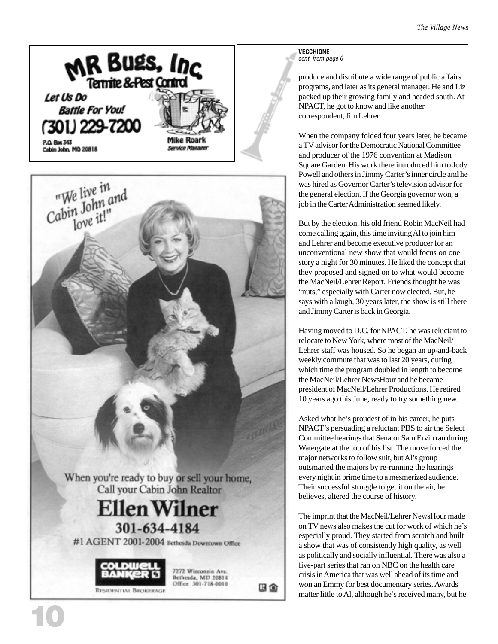





10

Bethesda, MD 20814 Office 301-718-0010

HO

VECCHIONE cont. from page 6

produce and distribute a wide range of public affairs programs, and later as its general manager. He and Liz packed up their growing family and headed south. At NPACT, he got to know and like another correspondent, Jim Lehrer.

When the company folded four years later, he became a TV advisor for the Democratic National Committee and producer of the 1976 convention at Madison Square Garden. His work there introduced him to Jody Powell and others in Jimmy Carter's inner circle and he was hired as Governor Carter's television advisor for the general election. If the Georgia governor won, a job in the Carter Administration seemed likely.

But by the election, his old friend Robin MacNeil had come calling again, this time inviting Al to join him and Lehrer and become executive producer for an unconventional new show that would focus on one story a night for 30 minutes. He liked the concept that they proposed and signed on to what would become the MacNeil/Lehrer Report. Friends thought he was "nuts," especially with Carter now elected. But, he says with a laugh, 30 years later, the show is still there and Jimmy Carter is back in Georgia.

Having moved to D.C. for NPACT, he was reluctant to relocate to New York, where most of the MacNeil/ Lehrer staff was housed. So he began an up-and-back weekly commute that was to last 20 years, during which time the program doubled in length to become the MacNeil/Lehrer NewsHour and he became president of MacNeil/Lehrer Productions. He retired 10 years ago this June, ready to try something new.

Asked what he's proudest of in his career, he puts NPACT's persuading a reluctant PBS to air the Select Committee hearings that Senator Sam Ervin ran during Watergate at the top of his list. The move forced the major networks to follow suit, but Al's group outsmarted the majors by re-running the hearings every night in prime time to a mesmerized audience. Their successful struggle to get it on the air, he believes, altered the course of history.

The imprint that the MacNeil/Lehrer NewsHour made on TV news also makes the cut for work of which he's especially proud. They started from scratch and built a show that was of consistently high quality, as well as politically and socially influential. There was also a five-part series that ran on NBC on the health care crisis in America that was well ahead of its time and won an Emmy for best documentary series. Awards matter little to Al, although he's received many, but he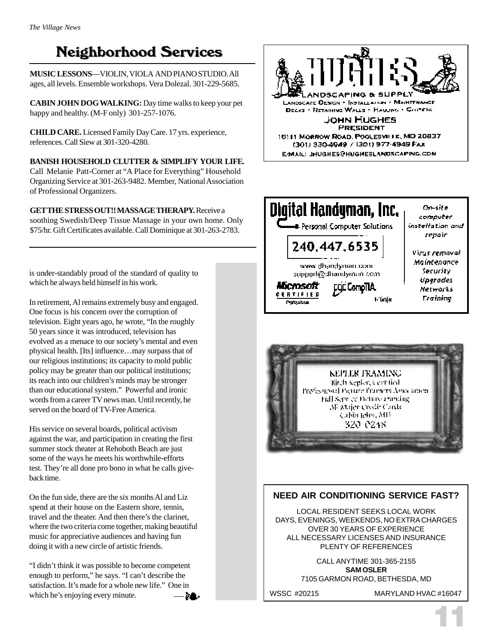# **Neighborhood Services**

**MUSIC LESSONS**—VIOLIN, VIOLA AND PIANO STUDIO. All ages, all levels. Ensemble workshops. Vera Dolezal. 301-229-5685.

**CABIN JOHN DOG WALKING:** Day time walks to keep your pet happy and healthy. (M-F only) 301-257-1076.

**CHILD CARE.** Licensed Family Day Care. 17 yrs. experience, references. Call Siew at 301-320-4280.

**BANISH HOUSEHOLD CLUTTER & SIMPLIFY YOUR LIFE.** Call Melanie Patt-Corner at "A Place for Everything" Household Organizing Service at 301-263-9482. Member, National Association of Professional Organizers.

**GET THE STRESS OUT!! MASSAGE THERAPY.** Receive a soothing Swedish/Deep Tissue Massage in your own home. Only \$75/hr. Gift Certificates available. Call Dominique at 301-263-2783.

is under-standably proud of the standard of quality to which he always held himself in his work.

In retirement, Al remains extremely busy and engaged. One focus is his concern over the corruption of television. Eight years ago, he wrote, "In the roughly 50 years since it was introduced, television has evolved as a menace to our society's mental and even physical health. [Its] influence…may surpass that of our religious institutions; its capacity to mold public policy may be greater than our political institutions; its reach into our children's minds may be stronger than our educational system." Powerful and ironic words from a career TV news man. Until recently, he served on the board of TV-Free America.

His service on several boards, political activism against the war, and participation in creating the first summer stock theater at Rehoboth Beach are just some of the ways he meets his worthwhile-efforts test. They're all done pro bono in what he calls giveback time.

On the fun side, there are the six months Al and Liz spend at their house on the Eastern shore, tennis, travel and the theater. And then there's the clarinet, where the two criteria come together, making beautiful music for appreciative audiences and having fun doing it with a new circle of artistic friends.

"I didn't think it was possible to become competent enough to perform," he says. "I can't describe the satisfaction. It's made for a whole new life." One in which he's enjoying every minute.- 28.







### **NEED AIR CONDITIONING SERVICE FAST?**

LOCAL RESIDENT SEEKS LOCAL WORK DAYS, EVENINGS, WEEKENDS, NO EXTRA CHARGES OVER 30 YEARS OF EXPERIENCE ALL NECESSARY LICENSES AND INSURANCE PLENTY OF REFERENCES

> CALL ANYTIME 301-365-2155 **SAM OSLER** 7105 GARMON ROAD, BETHESDA, MD

WSSC #20215 MARYLAND HVAC #16047